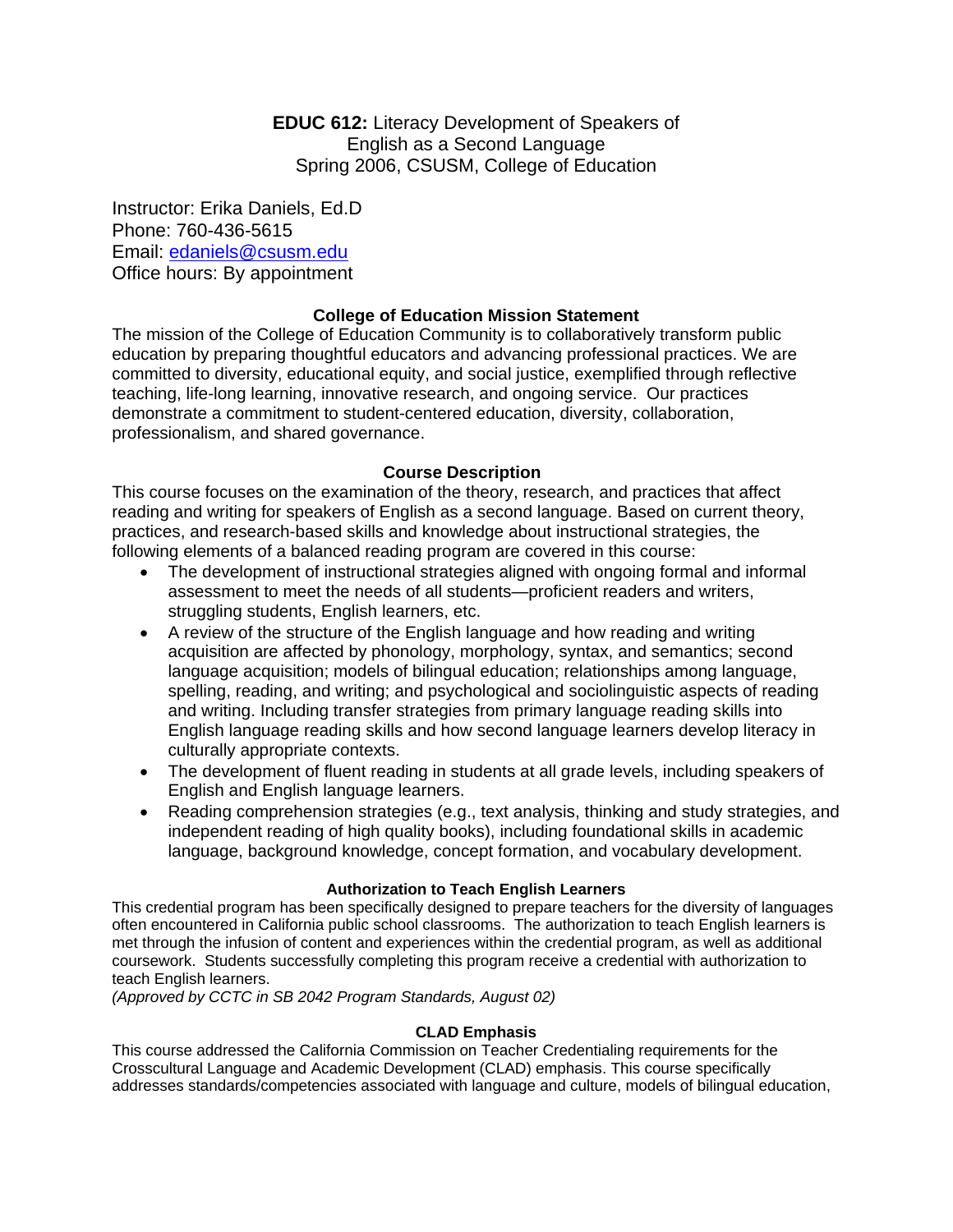**EDUC 612:** Literacy Development of Speakers of English as a Second Language Spring 2006, CSUSM, College of Education

Instructor: Erika Daniels, Ed.D Phone: 760-436-5615 Email: edaniels@csusm.edu Office hours: By appointment

# **College of Education Mission Statement**

The mission of the College of Education Community is to collaboratively transform public education by preparing thoughtful educators and advancing professional practices. We are committed to diversity, educational equity, and social justice, exemplified through reflective teaching, life-long learning, innovative research, and ongoing service. Our practices demonstrate a commitment to student-centered education, diversity, collaboration, professionalism, and shared governance.

## **Course Description**

This course focuses on the examination of the theory, research, and practices that affect reading and writing for speakers of English as a second language. Based on current theory, practices, and research-based skills and knowledge about instructional strategies, the following elements of a balanced reading program are covered in this course:

- The development of instructional strategies aligned with ongoing formal and informal assessment to meet the needs of all students—proficient readers and writers, struggling students, English learners, etc.
- A review of the structure of the English language and how reading and writing acquisition are affected by phonology, morphology, syntax, and semantics; second language acquisition; models of bilingual education; relationships among language, spelling, reading, and writing; and psychological and sociolinguistic aspects of reading and writing. Including transfer strategies from primary language reading skills into English language reading skills and how second language learners develop literacy in culturally appropriate contexts.
- The development of fluent reading in students at all grade levels, including speakers of English and English language learners.
- Reading comprehension strategies (e.g., text analysis, thinking and study strategies, and independent reading of high quality books), including foundational skills in academic language, background knowledge, concept formation, and vocabulary development.

## **Authorization to Teach English Learners**

This credential program has been specifically designed to prepare teachers for the diversity of languages often encountered in California public school classrooms. The authorization to teach English learners is met through the infusion of content and experiences within the credential program, as well as additional coursework. Students successfully completing this program receive a credential with authorization to teach English learners.

*(Approved by CCTC in SB 2042 Program Standards, August 02)*

#### **CLAD Emphasis**

This course addressed the California Commission on Teacher Credentialing requirements for the Crosscultural Language and Academic Development (CLAD) emphasis. This course specifically addresses standards/competencies associated with language and culture, models of bilingual education,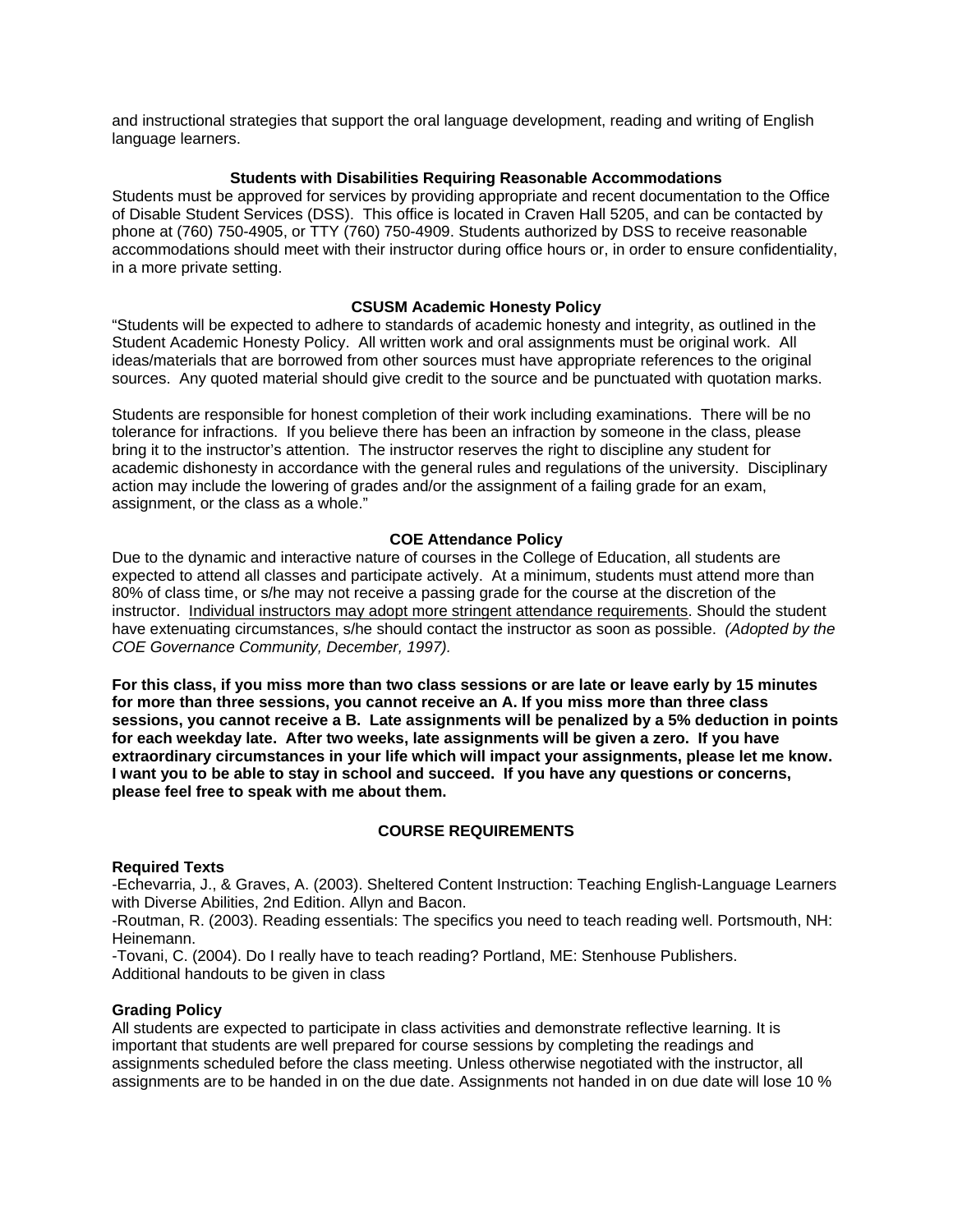and instructional strategies that support the oral language development, reading and writing of English language learners.

#### **Students with Disabilities Requiring Reasonable Accommodations**

Students must be approved for services by providing appropriate and recent documentation to the Office of Disable Student Services (DSS). This office is located in Craven Hall 5205, and can be contacted by phone at (760) 750-4905, or TTY (760) 750-4909. Students authorized by DSS to receive reasonable accommodations should meet with their instructor during office hours or, in order to ensure confidentiality, in a more private setting.

#### **CSUSM Academic Honesty Policy**

"Students will be expected to adhere to standards of academic honesty and integrity, as outlined in the Student Academic Honesty Policy. All written work and oral assignments must be original work. All ideas/materials that are borrowed from other sources must have appropriate references to the original sources. Any quoted material should give credit to the source and be punctuated with quotation marks.

Students are responsible for honest completion of their work including examinations. There will be no tolerance for infractions. If you believe there has been an infraction by someone in the class, please bring it to the instructor's attention. The instructor reserves the right to discipline any student for academic dishonesty in accordance with the general rules and regulations of the university. Disciplinary action may include the lowering of grades and/or the assignment of a failing grade for an exam, assignment, or the class as a whole."

#### **COE Attendance Policy**

Due to the dynamic and interactive nature of courses in the College of Education, all students are expected to attend all classes and participate actively. At a minimum, students must attend more than 80% of class time, or s/he may not receive a passing grade for the course at the discretion of the instructor. Individual instructors may adopt more stringent attendance requirements. Should the student have extenuating circumstances, s/he should contact the instructor as soon as possible. *(Adopted by the COE Governance Community, December, 1997).*

**For this class, if you miss more than two class sessions or are late or leave early by 15 minutes for more than three sessions, you cannot receive an A. If you miss more than three class sessions, you cannot receive a B. Late assignments will be penalized by a 5% deduction in points for each weekday late. After two weeks, late assignments will be given a zero. If you have extraordinary circumstances in your life which will impact your assignments, please let me know. I want you to be able to stay in school and succeed. If you have any questions or concerns, please feel free to speak with me about them.** 

## **COURSE REQUIREMENTS**

#### **Required Texts**

-Echevarria, J., & Graves, A. (2003). Sheltered Content Instruction: Teaching English-Language Learners with Diverse Abilities, 2nd Edition. Allyn and Bacon.

-Routman, R. (2003). Reading essentials: The specifics you need to teach reading well. Portsmouth, NH: Heinemann.

-Tovani, C. (2004). Do I really have to teach reading? Portland, ME: Stenhouse Publishers. Additional handouts to be given in class

#### **Grading Policy**

All students are expected to participate in class activities and demonstrate reflective learning. It is important that students are well prepared for course sessions by completing the readings and assignments scheduled before the class meeting. Unless otherwise negotiated with the instructor, all assignments are to be handed in on the due date. Assignments not handed in on due date will lose 10 %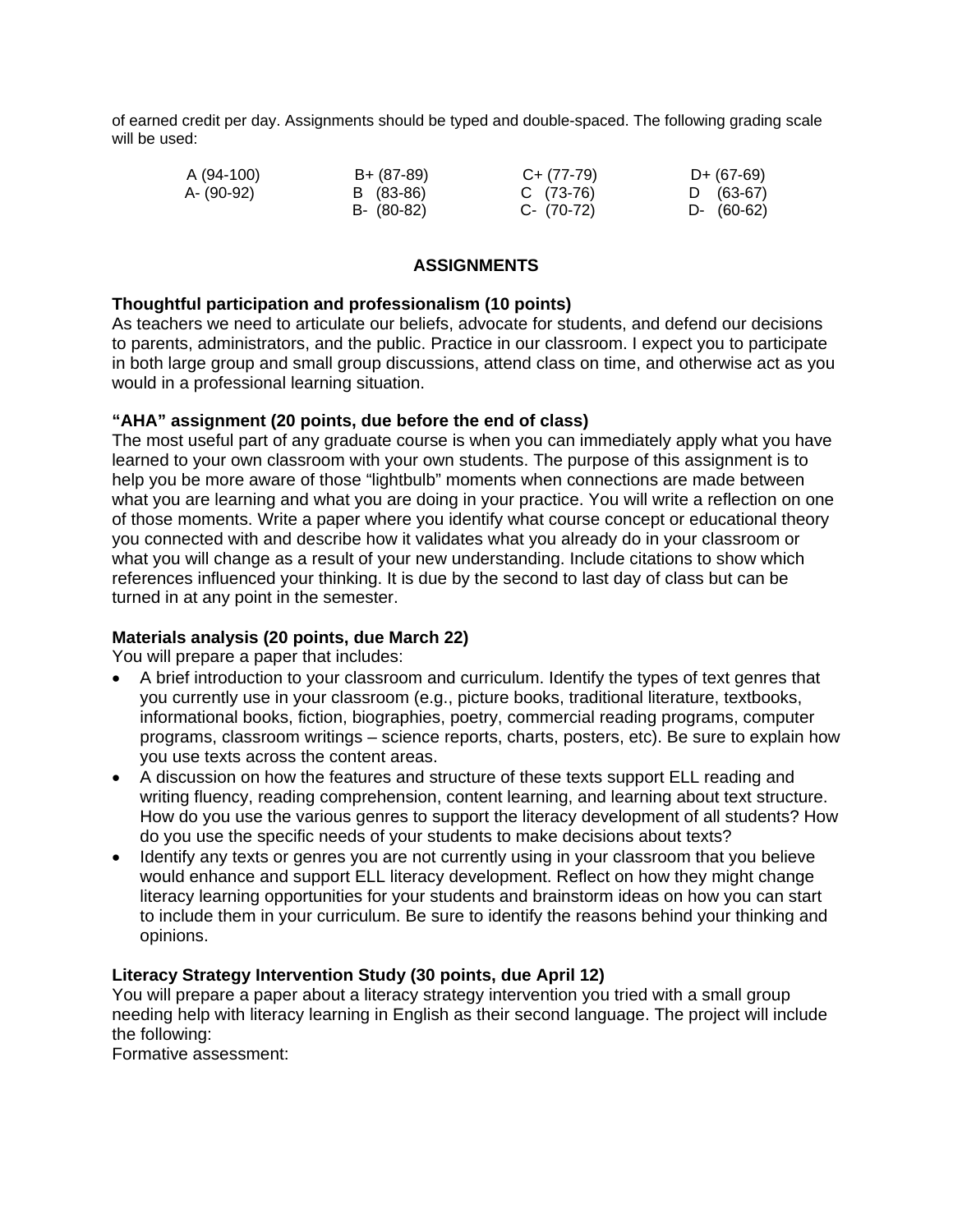of earned credit per day. Assignments should be typed and double-spaced. The following grading scale will be used:

| A (94-100) | B+ (87-89) | $C+ (77-79)$ | $D+ (67-69)$ |
|------------|------------|--------------|--------------|
| A- (90-92) | B (83-86)  | $C(73-76)$   | $D (63-67)$  |
|            | B- (80-82) | C- (70-72)   | $D-$ (60-62) |

# **ASSIGNMENTS**

# **Thoughtful participation and professionalism (10 points)**

As teachers we need to articulate our beliefs, advocate for students, and defend our decisions to parents, administrators, and the public. Practice in our classroom. I expect you to participate in both large group and small group discussions, attend class on time, and otherwise act as you would in a professional learning situation.

# **"AHA" assignment (20 points, due before the end of class)**

The most useful part of any graduate course is when you can immediately apply what you have learned to your own classroom with your own students. The purpose of this assignment is to help you be more aware of those "lightbulb" moments when connections are made between what you are learning and what you are doing in your practice. You will write a reflection on one of those moments. Write a paper where you identify what course concept or educational theory you connected with and describe how it validates what you already do in your classroom or what you will change as a result of your new understanding. Include citations to show which references influenced your thinking. It is due by the second to last day of class but can be turned in at any point in the semester.

# **Materials analysis (20 points, due March 22)**

You will prepare a paper that includes:

- A brief introduction to your classroom and curriculum. Identify the types of text genres that you currently use in your classroom (e.g., picture books, traditional literature, textbooks, informational books, fiction, biographies, poetry, commercial reading programs, computer programs, classroom writings – science reports, charts, posters, etc). Be sure to explain how you use texts across the content areas.
- A discussion on how the features and structure of these texts support ELL reading and writing fluency, reading comprehension, content learning, and learning about text structure. How do you use the various genres to support the literacy development of all students? How do you use the specific needs of your students to make decisions about texts?
- Identify any texts or genres you are not currently using in your classroom that you believe would enhance and support ELL literacy development. Reflect on how they might change literacy learning opportunities for your students and brainstorm ideas on how you can start to include them in your curriculum. Be sure to identify the reasons behind your thinking and opinions.

## **Literacy Strategy Intervention Study (30 points, due April 12)**

You will prepare a paper about a literacy strategy intervention you tried with a small group needing help with literacy learning in English as their second language. The project will include the following:

Formative assessment: